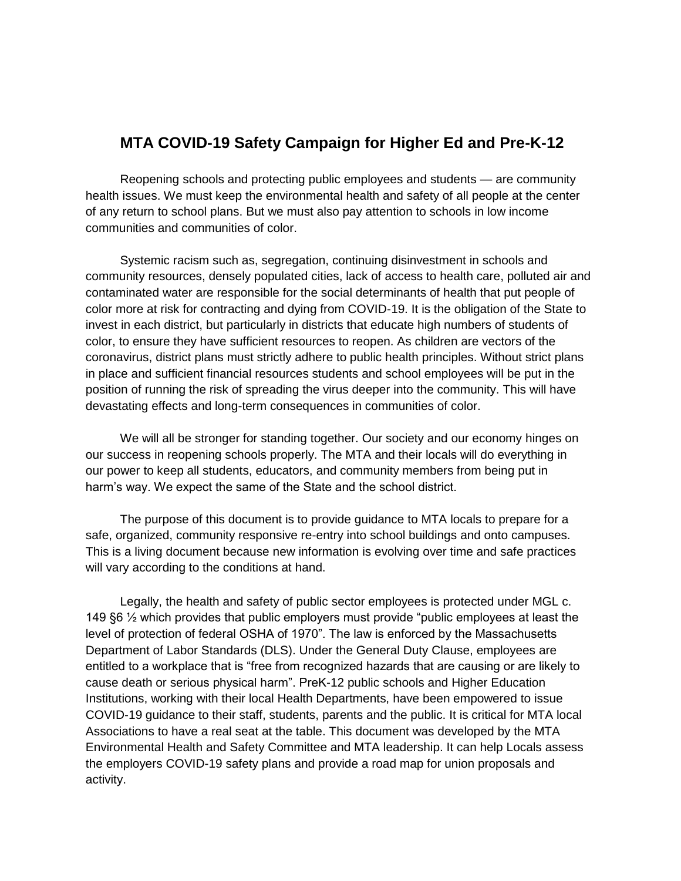# **MTA COVID-19 Safety Campaign for Higher Ed and Pre-K-12**

Reopening schools and protecting public employees and students — are community health issues. We must keep the environmental health and safety of all people at the center of any return to school plans. But we must also pay attention to schools in low income communities and communities of color.

Systemic racism such as, segregation, continuing disinvestment in schools and community resources, densely populated cities, lack of access to health care, polluted air and contaminated water are responsible for the social determinants of health that put people of color more at risk for contracting and dying from COVID-19. It is the obligation of the State to invest in each district, but particularly in districts that educate high numbers of students of color, to ensure they have sufficient resources to reopen. As children are vectors of the coronavirus, district plans must strictly adhere to public health principles. Without strict plans in place and sufficient financial resources students and school employees will be put in the position of running the risk of spreading the virus deeper into the community. This will have devastating effects and long-term consequences in communities of color.

We will all be stronger for standing together. Our society and our economy hinges on our success in reopening schools properly. The MTA and their locals will do everything in our power to keep all students, educators, and community members from being put in harm's way. We expect the same of the State and the school district.

The purpose of this document is to provide guidance to MTA locals to prepare for a safe, organized, community responsive re-entry into school buildings and onto campuses. This is a living document because new information is evolving over time and safe practices will vary according to the conditions at hand.

Legally, the health and safety of public sector employees is protected under MGL c. 149 §6 ½ which provides that public employers must provide "public employees at least the level of protection of federal OSHA of 1970". The law is enforced by the Massachusetts Department of Labor Standards (DLS). Under the General Duty Clause, employees are entitled to a workplace that is "free from recognized hazards that are causing or are likely to cause death or serious physical harm". PreK-12 public schools and Higher Education Institutions, working with their local Health Departments, have been empowered to issue COVID-19 guidance to their staff, students, parents and the public. It is critical for MTA local Associations to have a real seat at the table. This document was developed by the MTA Environmental Health and Safety Committee and MTA leadership. It can help Locals assess the employers COVID-19 safety plans and provide a road map for union proposals and activity.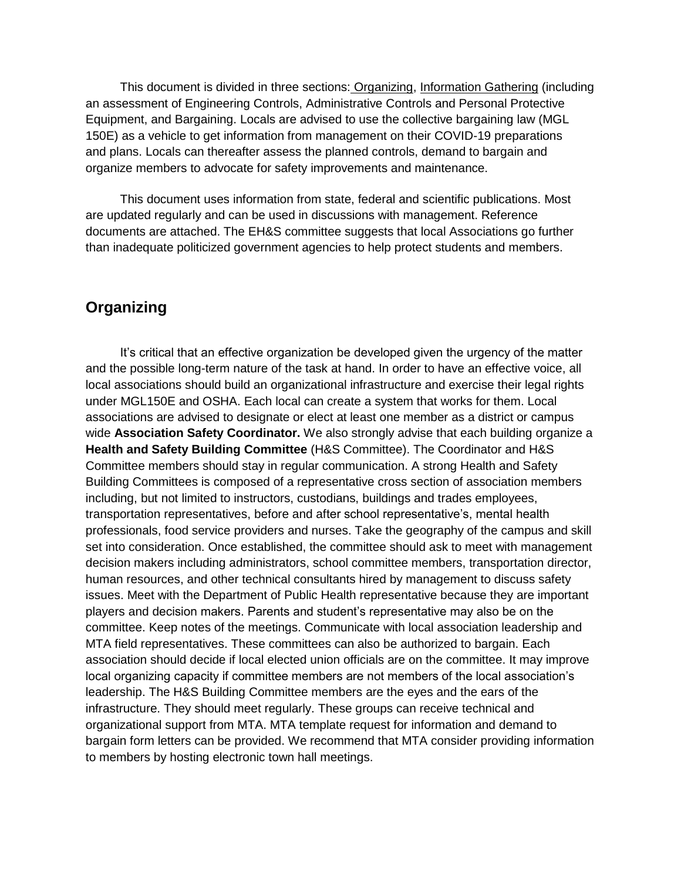This document is divided in three sections: Organizing, Information Gathering (including an assessment of Engineering Controls, Administrative Controls and Personal Protective Equipment, and Bargaining. Locals are advised to use the collective bargaining law (MGL 150E) as a vehicle to get information from management on their COVID-19 preparations and plans. Locals can thereafter assess the planned controls, demand to bargain and organize members to advocate for safety improvements and maintenance.

This document uses information from state, federal and scientific publications. Most are updated regularly and can be used in discussions with management. Reference documents are attached. The EH&S committee suggests that local Associations go further than inadequate politicized government agencies to help protect students and members.

# **Organizing**

It's critical that an effective organization be developed given the urgency of the matter and the possible long-term nature of the task at hand. In order to have an effective voice, all local associations should build an organizational infrastructure and exercise their legal rights under MGL150E and OSHA. Each local can create a system that works for them. Local associations are advised to designate or elect at least one member as a district or campus wide **Association Safety Coordinator.** We also strongly advise that each building organize a **Health and Safety Building Committee** (H&S Committee). The Coordinator and H&S Committee members should stay in regular communication. A strong Health and Safety Building Committees is composed of a representative cross section of association members including, but not limited to instructors, custodians, buildings and trades employees, transportation representatives, before and after school representative's, mental health professionals, food service providers and nurses. Take the geography of the campus and skill set into consideration. Once established, the committee should ask to meet with management decision makers including administrators, school committee members, transportation director, human resources, and other technical consultants hired by management to discuss safety issues. Meet with the Department of Public Health representative because they are important players and decision makers. Parents and student's representative may also be on the committee. Keep notes of the meetings. Communicate with local association leadership and MTA field representatives. These committees can also be authorized to bargain. Each association should decide if local elected union officials are on the committee. It may improve local organizing capacity if committee members are not members of the local association's leadership. The H&S Building Committee members are the eyes and the ears of the infrastructure. They should meet regularly. These groups can receive technical and organizational support from MTA. MTA template request for information and demand to bargain form letters can be provided. We recommend that MTA consider providing information to members by hosting electronic town hall meetings.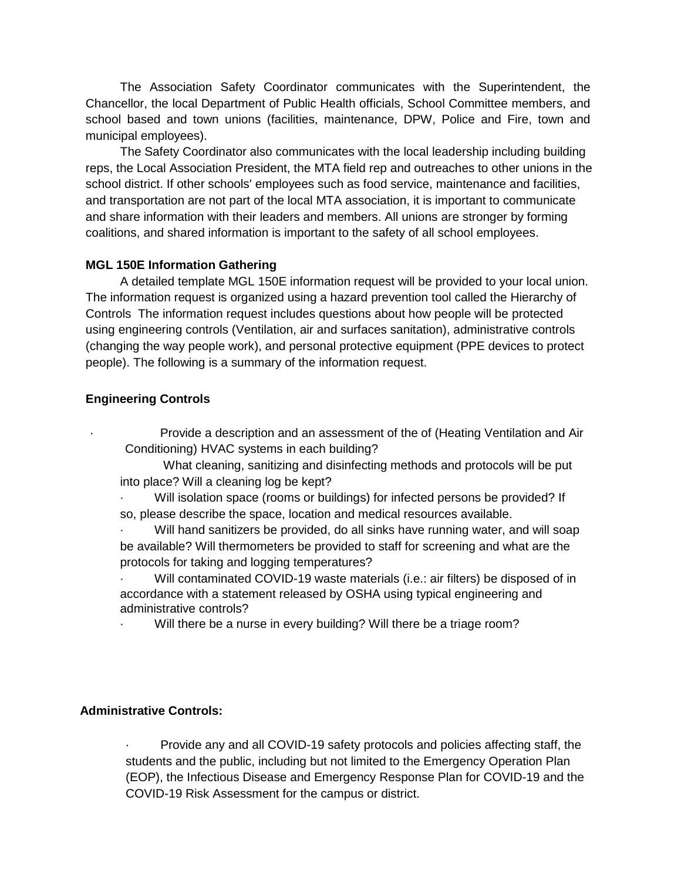The Association Safety Coordinator communicates with the Superintendent, the Chancellor, the local Department of Public Health officials, School Committee members, and school based and town unions (facilities, maintenance, DPW, Police and Fire, town and municipal employees).

The Safety Coordinator also communicates with the local leadership including building reps, the Local Association President, the MTA field rep and outreaches to other unions in the school district. If other schools' employees such as food service, maintenance and facilities, and transportation are not part of the local MTA association, it is important to communicate and share information with their leaders and members. All unions are stronger by forming coalitions, and shared information is important to the safety of all school employees.

### **MGL 150E Information Gathering**

A detailed template MGL 150E information request will be provided to your local union. The information request is organized using a hazard prevention tool called the Hierarchy of Controls The information request includes questions about how people will be protected using engineering controls (Ventilation, air and surfaces sanitation), administrative controls (changing the way people work), and personal protective equipment (PPE devices to protect people). The following is a summary of the information request.

### **Engineering Controls**

- · Provide a description and an assessment of the of (Heating Ventilation and Air Conditioning) HVAC systems in each building?
- What cleaning, sanitizing and disinfecting methods and protocols will be put into place? Will a cleaning log be kept?
- Will isolation space (rooms or buildings) for infected persons be provided? If so, please describe the space, location and medical resources available.
- · Will hand sanitizers be provided, do all sinks have running water, and will soap be available? Will thermometers be provided to staff for screening and what are the protocols for taking and logging temperatures?
- Will contaminated COVID-19 waste materials (i.e.: air filters) be disposed of in accordance with a statement released by OSHA using typical engineering and administrative controls?
	- Will there be a nurse in every building? Will there be a triage room?

### **Administrative Controls:**

· Provide any and all COVID-19 safety protocols and policies affecting staff, the students and the public, including but not limited to the Emergency Operation Plan (EOP), the Infectious Disease and Emergency Response Plan for COVID-19 and the COVID-19 Risk Assessment for the campus or district.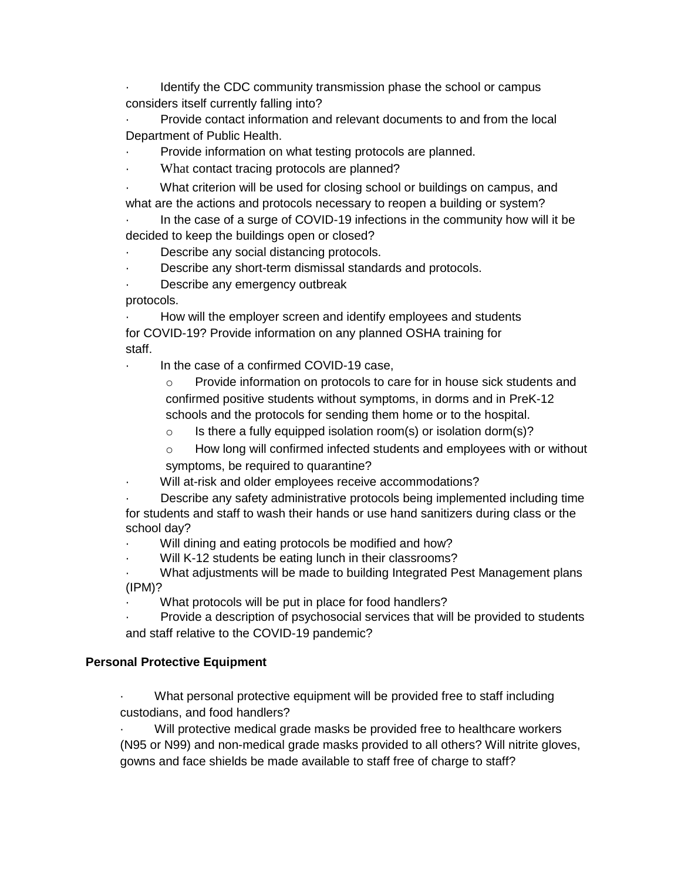Identify the CDC community transmission phase the school or campus considers itself currently falling into?

· Provide contact information and relevant documents to and from the local Department of Public Health.

Provide information on what testing protocols are planned.

What contact tracing protocols are planned?

What criterion will be used for closing school or buildings on campus, and what are the actions and protocols necessary to reopen a building or system?

In the case of a surge of COVID-19 infections in the community how will it be decided to keep the buildings open or closed?

Describe any social distancing protocols.

- Describe any short-term dismissal standards and protocols.
- Describe any emergency outbreak

protocols.

How will the employer screen and identify employees and students for COVID-19? Provide information on any planned OSHA training for staff.

In the case of a confirmed COVID-19 case,

o Provide information on protocols to care for in house sick students and confirmed positive students without symptoms, in dorms and in PreK-12 schools and the protocols for sending them home or to the hospital.

 $\circ$  Is there a fully equipped isolation room(s) or isolation dorm(s)?

 $\circ$  How long will confirmed infected students and employees with or without symptoms, be required to quarantine?

Will at-risk and older employees receive accommodations?

Describe any safety administrative protocols being implemented including time for students and staff to wash their hands or use hand sanitizers during class or the school day?

Will dining and eating protocols be modified and how?

Will K-12 students be eating lunch in their classrooms?

What adjustments will be made to building Integrated Pest Management plans (IPM)?

What protocols will be put in place for food handlers?

Provide a description of psychosocial services that will be provided to students and staff relative to the COVID-19 pandemic?

## **Personal Protective Equipment**

What personal protective equipment will be provided free to staff including custodians, and food handlers?

Will protective medical grade masks be provided free to healthcare workers (N95 or N99) and non-medical grade masks provided to all others? Will nitrite gloves, gowns and face shields be made available to staff free of charge to staff?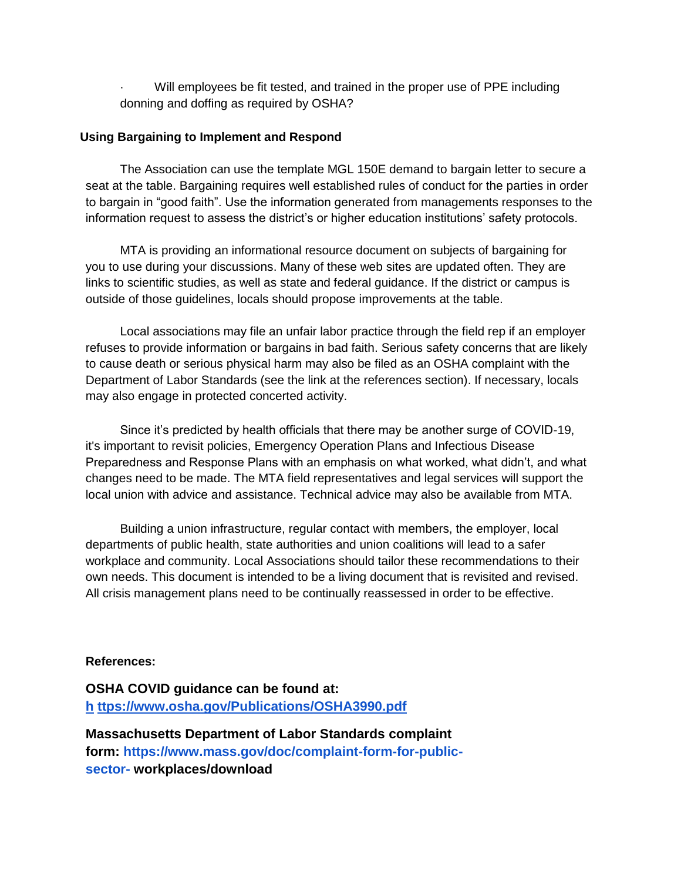Will employees be fit tested, and trained in the proper use of PPE including donning and doffing as required by OSHA?

#### **Using Bargaining to Implement and Respond**

The Association can use the template MGL 150E demand to bargain letter to secure a seat at the table. Bargaining requires well established rules of conduct for the parties in order to bargain in "good faith". Use the information generated from managements responses to the information request to assess the district's or higher education institutions' safety protocols.

MTA is providing an informational resource document on subjects of bargaining for you to use during your discussions. Many of these web sites are updated often. They are links to scientific studies, as well as state and federal guidance. If the district or campus is outside of those guidelines, locals should propose improvements at the table.

Local associations may file an unfair labor practice through the field rep if an employer refuses to provide information or bargains in bad faith. Serious safety concerns that are likely to cause death or serious physical harm may also be filed as an OSHA complaint with the Department of Labor Standards (see the link at the references section). If necessary, locals may also engage in protected concerted activity.

Since it's predicted by health officials that there may be another surge of COVID-19, it's important to revisit policies, Emergency Operation Plans and Infectious Disease Preparedness and Response Plans with an emphasis on what worked, what didn't, and what changes need to be made. The MTA field representatives and legal services will support the local union with advice and assistance. Technical advice may also be available from MTA.

Building a union infrastructure, regular contact with members, the employer, local departments of public health, state authorities and union coalitions will lead to a safer workplace and community. Local Associations should tailor these recommendations to their own needs. This document is intended to be a living document that is revisited and revised. All crisis management plans need to be continually reassessed in order to be effective.

#### **References:**

**OSHA COVID guidance can be found at: [h](https://www.osha.gov/Publications/OSHA3990.pdf) [ttps://www.osha.gov/Publications/OSHA3990.pdf](https://www.osha.gov/Publications/OSHA3990.pdf)**

**Massachusetts Department of Labor Standards complaint form[:](http://www.mass.gov/doc/complaint-form-for-public-sector-) [https://www.mass.gov/doc/complaint-form-for-public](http://www.mass.gov/doc/complaint-form-for-public-sector-)sector- workplaces/download**